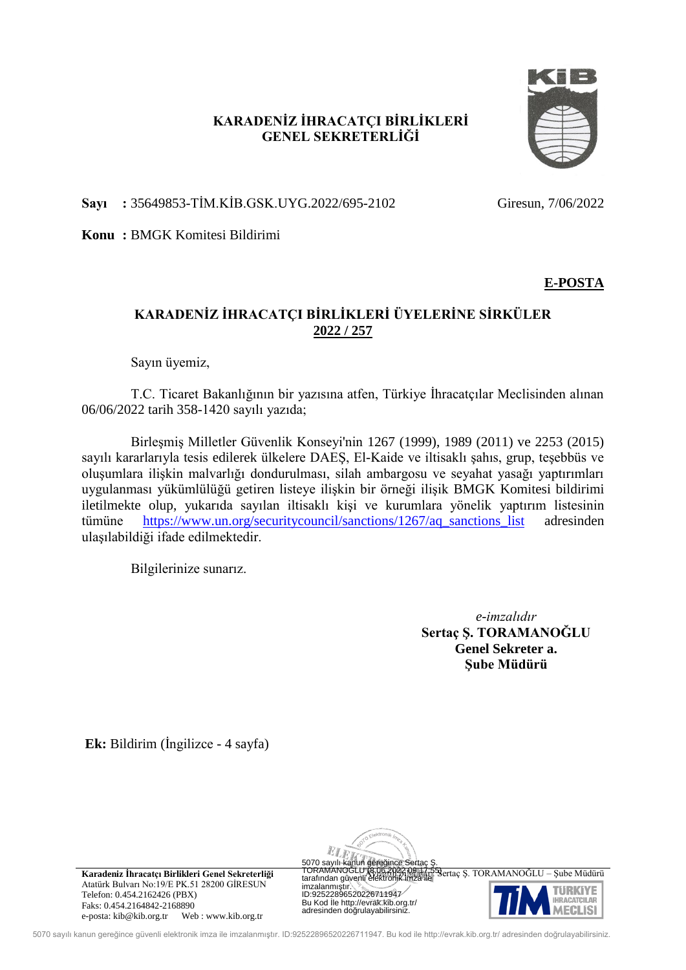# **KARADENİZ İHRACATÇI BİRLİKLERİ GENEL SEKRETERLİĞİ**



**Sayı :** 35649853-TİM.KİB.GSK.UYG.2022/695-2102 Giresun, 7/06/2022

**Konu :** BMGK Komitesi Bildirimi

# **E-POSTA**

# **KARADENİZ İHRACATÇI BİRLİKLERİ ÜYELERİNE SİRKÜLER 2022 / 257**

Sayın üyemiz,

T.C. Ticaret Bakanlığının bir yazısına atfen, Türkiye İhracatçılar Meclisinden alınan 06/06/2022 tarih 358-1420 sayılı yazıda;

Birleşmiş Milletler Güvenlik Konseyi'nin 1267 (1999), 1989 (2011) ve 2253 (2015) sayılı kararlarıyla tesis edilerek ülkelere DAEŞ, El-Kaide ve iltisaklı şahıs, grup, teşebbüs ve oluşumlara ilişkin malvarlığı dondurulması, silah ambargosu ve seyahat yasağı yaptırımları uygulanması yükümlülüğü getiren listeye ilişkin bir örneği ilişik BMGK Komitesi bildirimi iletilmekte olup, yukarıda sayılan iltisaklı kişi ve kurumlara yönelik yaptırım listesinin tümüne [https://www.un.org/securitycouncil/sanctions/1267/aq\\_sanctions\\_list](https://www.un.org/securitycouncil/sanctions/1267/aq_sanctions_list) adresinden ulaşılabildiği ifade edilmektedir.

Bilgilerinize sunarız.

*e-imzalıdır* **Sertaç Ş. TORAMANOĞLU Genel Sekreter a. Şube Müdürü**

**Ek:** Bildirim (İngilizce - 4 sayfa)



**Karadeniz İhracatçı Birlikleri Genel Sekreterliği** Ayrıntılı bilgi ile işin: Sertaç Ş. TORAMANOĞLU – Şube Müdürü Atatürk Bulvarı No:19/E PK.51 28200 GİRESUN Telefon: 0.454.2162426 (PBX) Faks: 0.454.2164842-2168890 e-posta: kib@kib.org.tr Web : www.kib.org.tr

5070 sayılı kanun gere jince Sertaç<br>TORAMANO LU (8.06.2027,09:17:55)<br>tarafından güvenli elektronik imza ile imzalanmı tır.<br>ID:92522896520226711947 Bu Kod le http://evrak.kib.org.tr/ adresinden do rulayabilirsiniz.



5070 sayılı kanun gereğince güvenli elektronik imza ile imzalanmıştır. ID:92522896520226711947. Bu kod ile http://evrak.kib.org.tr/ adresinden doğrulayabilirsiniz.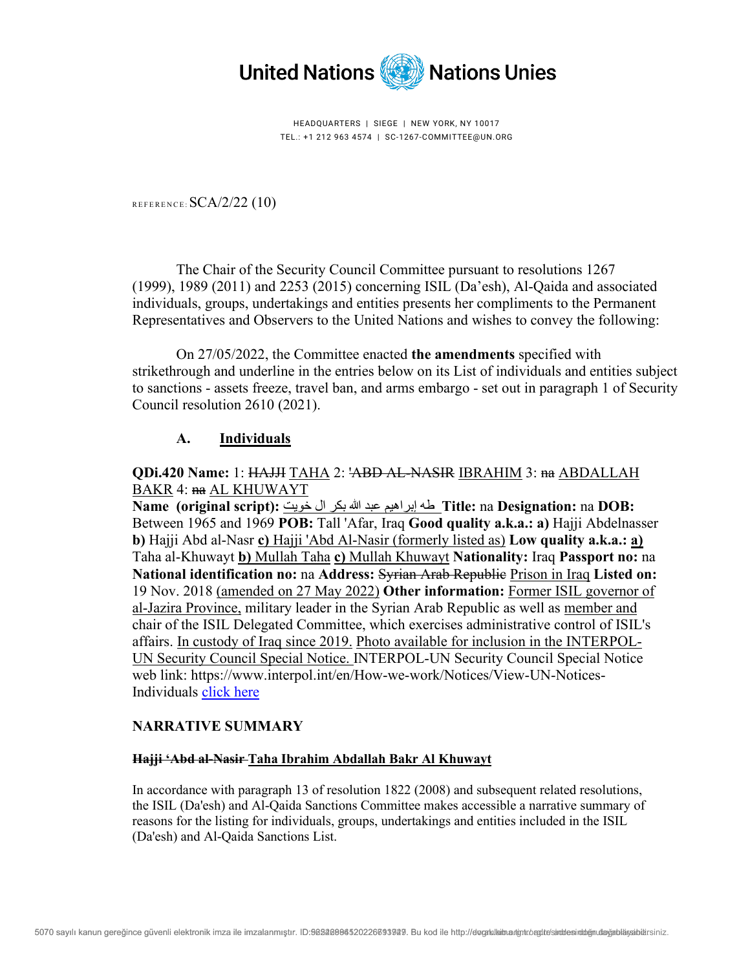

HEADQUARTERS | SIEGE | NEW YORK, NY 10017 TEL.: +1 212 963 4574 | SC-1267-COMMITTEE@UN.ORG

REFERENCE:  $SCA/2/22$  (10)

The Chair of the Security Council Committee pursuant to resolutions 1267 (1999), 1989 (2011) and 2253 (2015) concerning ISIL (Da'esh), Al-Qaida and associated individuals, groups, undertakings and entities presents her compliments to the Permanent Representatives and Observers to the United Nations and wishes to convey the following:

On 27/05/2022, the Committee enacted **the amendments** specified with strikethrough and underline in the entries below on its List of individuals and entities subject to sanctions - assets freeze, travel ban, and arms embargo - set out in paragraph 1 of Security Council resolution 2610 (2021).

#### **A. Individuals**

#### **QDi.420 Name:** 1: HAJJI TAHA 2: 'ABD AL-NASIR IBRAHIM 3: na ABDALLAH BAKR 4: na AL KHUWAYT

**Name (original script):** خویت ال بكر الله عبد إبراھیم طھ **Title:** na **Designation:** na **DOB:** Between 1965 and 1969 **POB:** Tall 'Afar, Iraq **Good quality a.k.a.: a)** Hajji Abdelnasser **b)** Hajji Abd al-Nasr **c)** Hajji 'Abd Al-Nasir (formerly listed as) **Low quality a.k.a.: a)** Taha al-Khuwayt **b)** Mullah Taha **c)** Mullah Khuwayt **Nationality:** Iraq **Passport no:** na **National identification no:** na **Address:** Syrian Arab Republic Prison in Iraq **Listed on:** 19 Nov. 2018 (amended on 27 May 2022) **Other information:** Former ISIL governor of al-Jazira Province, military leader in the Syrian Arab Republic as well as member and chair of the ISIL Delegated Committee, which exercises administrative control of ISIL's affairs. In custody of Iraq since 2019. Photo available for inclusion in the INTERPOL-UN Security Council Special Notice. INTERPOL-UN Security Council Special Notice web link: https://www.interpol.int/en/How-we-work/Notices/View-UN-Notices-Individuals click here

#### **NARRATIVE SUMMARY**

#### **Hajji 'Abd al-Nasir Taha Ibrahim Abdallah Bakr Al Khuwayt**

In accordance with paragraph 13 of resolution 1822 (2008) and subsequent related resolutions, the ISIL (Da'esh) and Al-Qaida Sanctions Committee makes accessible a narrative summary of reasons for the listing for individuals, groups, undertakings and entities included in the ISIL (Da'esh) and Al-Qaida Sanctions List.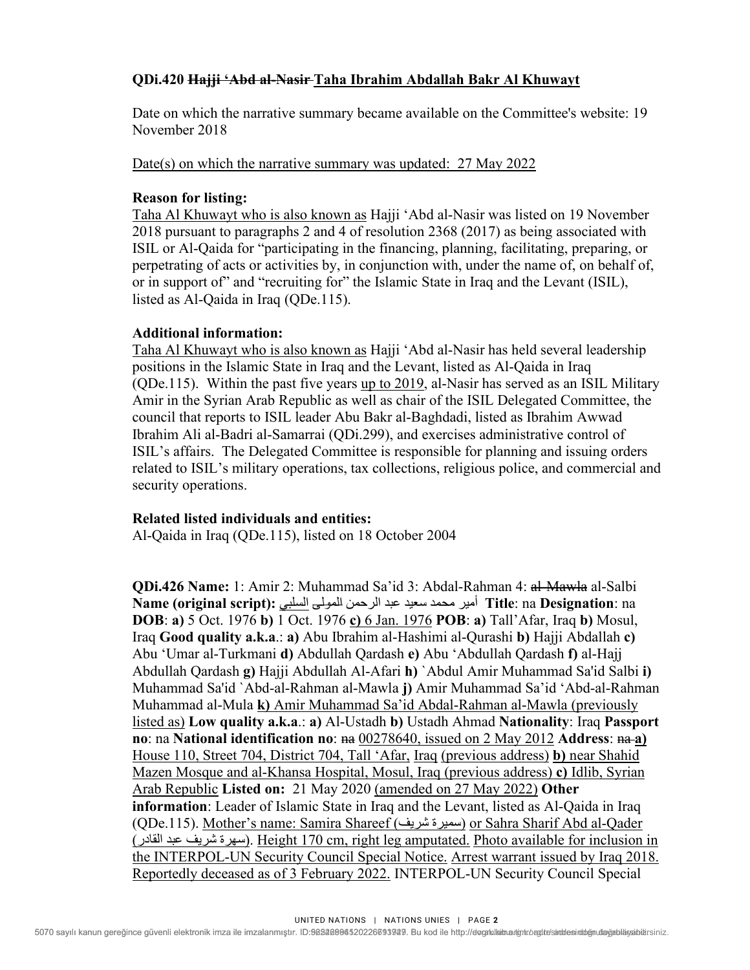## **QDi.420 Hajji 'Abd al-Nasir Taha Ibrahim Abdallah Bakr Al Khuwayt**

Date on which the narrative summary became available on the Committee's website: 19 November 2018

Date(s) on which the narrative summary was updated:27 May 2022

## **Reason for listing:**

Taha Al Khuwayt who is also known as Hajji 'Abd al-Nasir was listed on 19 November 2018 pursuant to paragraphs 2 and 4 of resolution 2368 (2017) as being associated with ISIL or Al-Qaida for "participating in the financing, planning, facilitating, preparing, or perpetrating of acts or activities by, in conjunction with, under the name of, on behalf of, or in support of" and "recruiting for" the Islamic State in Iraq and the Levant (ISIL), listed as Al-Qaida in Iraq (QDe.115).

## **Additional information:**

Taha Al Khuwayt who is also known as Hajji 'Abd al-Nasir has held several leadership positions in the Islamic State in Iraq and the Levant, listed as Al-Qaida in Iraq (QDe.115). Within the past five years up to 2019, al-Nasir has served as an ISIL Military Amir in the Syrian Arab Republic as well as chair of the ISIL Delegated Committee, the council that reports to ISIL leader Abu Bakr al-Baghdadi, listed as Ibrahim Awwad Ibrahim Ali al-Badri al-Samarrai (QDi.299), and exercises administrative control of ISIL's affairs. The Delegated Committee is responsible for planning and issuing orders related to ISIL's military operations, tax collections, religious police, and commercial and security operations.

#### **Related listed individuals and entities:**

Al-Qaida in Iraq (QDe.115), listed on 18 October 2004

**QDi.426 Name:** 1: Amir 2: Muhammad Sa'id 3: Abdal-Rahman 4: al-Mawla al-Salbi na :**Designation** na :**Title** أمیر محمد سعید عبد الرحمن المولى السلبي **:(script original (Name DOB**: **a)** 5 Oct. 1976 **b)** 1 Oct. 1976 **c)** 6 Jan. 1976 **POB**: **a)** Tall'Afar, Iraq **b)** Mosul, Iraq **Good quality a.k.a**.: **a)** Abu Ibrahim al-Hashimi al-Qurashi **b)** Hajji Abdallah **c)** Abu 'Umar al-Turkmani **d)** Abdullah Qardash **e)** Abu 'Abdullah Qardash **f)** al-Hajj Abdullah Qardash **g)** Hajji Abdullah Al-Afari **h)** `Abdul Amir Muhammad Sa'id Salbi **i)** Muhammad Sa'id `Abd-al-Rahman al-Mawla **j)** Amir Muhammad Sa'id 'Abd-al-Rahman Muhammad al-Mula **k)** Amir Muhammad Sa'id Abdal-Rahman al-Mawla (previously listed as) **Low quality a.k.a**.: **a)** Al-Ustadh **b)** Ustadh Ahmad **Nationality**: Iraq **Passport no**: na **National identification no**:  $\underline{\mathbf{a}}\cdot(0.0278640)$ , issued on 2 May 2012 **Address**:  $\underline{\mathbf{a}}\cdot(\underline{\mathbf{a}}\cdot\underline{\mathbf{a}})$ House 110, Street 704, District 704, Tall 'Afar, Iraq (previous address) **b)** near Shahid Mazen Mosque and al-Khansa Hospital, Mosul, Iraq (previous address) **c)** Idlib, Syrian Arab Republic **Listed on:** 21 May 2020 (amended on 27 May 2022) **Other information**: Leader of Islamic State in Iraq and the Levant, listed as Al-Qaida in Iraq (QDe.115). Mother's name: Samira Shareef (شریف سمیرة (or Sahra Sharif Abd al-Qader (القادر عبد شریف سھرة(. Height 170 cm, right leg amputated. Photo available for inclusion in the INTERPOL-UN Security Council Special Notice. Arrest warrant issued by Iraq 2018. Reportedly deceased as of 3 February 2022. INTERPOL-UN Security Council Special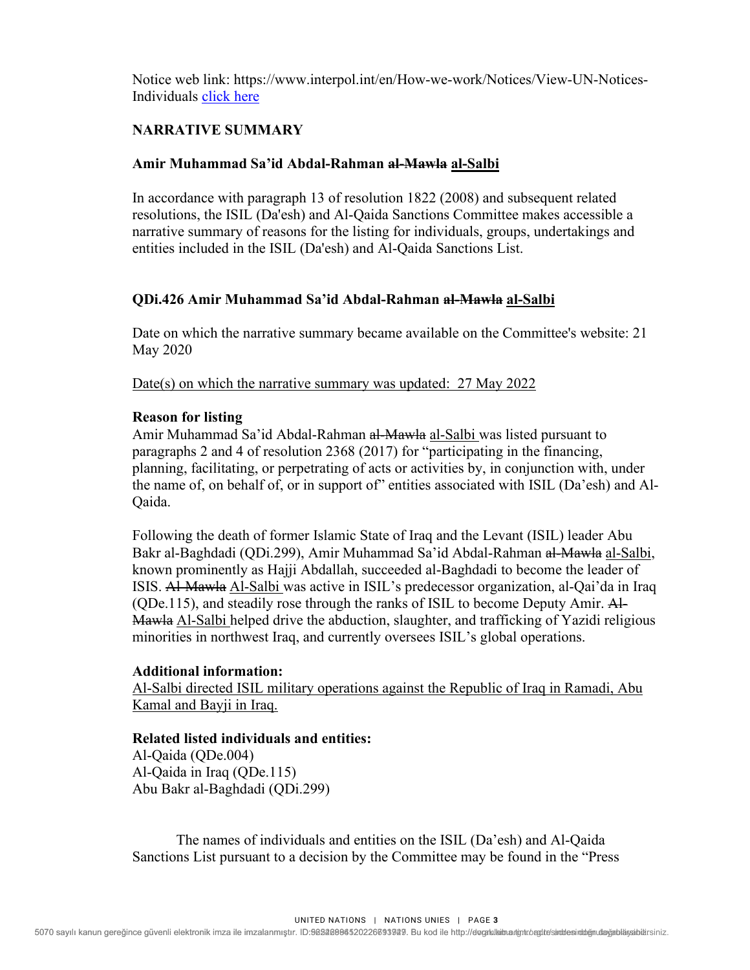Notice web link: https://www.interpol.int/en/How-we-work/Notices/View-UN-Notices-Individuals click here

## **NARRATIVE SUMMARY**

#### **Amir Muhammad Sa'id Abdal-Rahman al-Mawla al-Salbi**

In accordance with paragraph 13 of resolution 1822 (2008) and subsequent related resolutions, the ISIL (Da'esh) and Al-Qaida Sanctions Committee makes accessible a narrative summary of reasons for the listing for individuals, groups, undertakings and entities included in the ISIL (Da'esh) and Al-Qaida Sanctions List.

#### **QDi.426 Amir Muhammad Sa'id Abdal-Rahman al-Mawla al-Salbi**

Date on which the narrative summary became available on the Committee's website: 21 May 2020

Date(s) on which the narrative summary was updated:27 May 2022

#### **Reason for listing**

Amir Muhammad Sa'id Abdal-Rahman al-Mawla al-Salbi was listed pursuant to paragraphs 2 and 4 of resolution 2368 (2017) for "participating in the financing, planning, facilitating, or perpetrating of acts or activities by, in conjunction with, under the name of, on behalf of, or in support of" entities associated with ISIL (Da'esh) and Al-Qaida.

Following the death of former Islamic State of Iraq and the Levant (ISIL) leader Abu Bakr al-Baghdadi (QDi.299), Amir Muhammad Sa'id Abdal-Rahman al-Mawla al-Salbi, known prominently as Hajji Abdallah, succeeded al-Baghdadi to become the leader of ISIS. Al-Mawla Al-Salbi was active in ISIL's predecessor organization, al-Qai'da in Iraq (QDe.115), and steadily rose through the ranks of ISIL to become Deputy Amir. Al-Mawla Al-Salbi helped drive the abduction, slaughter, and trafficking of Yazidi religious minorities in northwest Iraq, and currently oversees ISIL's global operations.

#### **Additional information:**

Al-Salbi directed ISIL military operations against the Republic of Iraq in Ramadi, Abu Kamal and Bayji in Iraq.

#### **Related listed individuals and entities:**

Al-Qaida (QDe.004) Al-Qaida in Iraq (QDe.115) Abu Bakr al-Baghdadi (QDi.299)

The names of individuals and entities on the ISIL (Da'esh) and Al-Qaida Sanctions List pursuant to a decision by the Committee may be found in the "Press

UNITED NATIONS | NATIONS UNIES | PAGE **3**